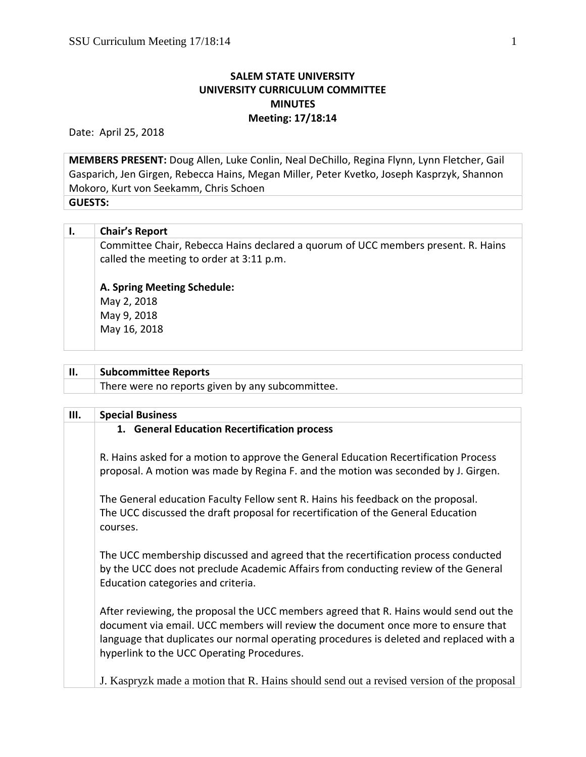## **SALEM STATE UNIVERSITY UNIVERSITY CURRICULUM COMMITTEE MINUTES Meeting: 17/18:14**

Date: April 25, 2018

**MEMBERS PRESENT:** Doug Allen, Luke Conlin, Neal DeChillo, Regina Flynn, Lynn Fletcher, Gail Gasparich, Jen Girgen, Rebecca Hains, Megan Miller, Peter Kvetko, Joseph Kasprzyk, Shannon Mokoro, Kurt von Seekamm, Chris Schoen **GUESTS:** 

| Ι. | <b>Chair's Report</b> |  |
|----|-----------------------|--|
|----|-----------------------|--|

Committee Chair, Rebecca Hains declared a quorum of UCC members present. R. Hains called the meeting to order at 3:11 p.m.

**A. Spring Meeting Schedule:** May 2, 2018 May 9, 2018 May 16, 2018

| <b>Subcommittee Reports</b>                      |
|--------------------------------------------------|
| There were no reports given by any subcommittee. |

| Ш. | <b>Special Business</b>                                                                                                                                                                                         |
|----|-----------------------------------------------------------------------------------------------------------------------------------------------------------------------------------------------------------------|
|    | 1. General Education Recertification process                                                                                                                                                                    |
|    |                                                                                                                                                                                                                 |
|    | R. Hains asked for a motion to approve the General Education Recertification Process<br>proposal. A motion was made by Regina F. and the motion was seconded by J. Girgen.                                      |
|    | The General education Faculty Fellow sent R. Hains his feedback on the proposal.                                                                                                                                |
|    | The UCC discussed the draft proposal for recertification of the General Education                                                                                                                               |
|    | courses.                                                                                                                                                                                                        |
|    | The UCC membership discussed and agreed that the recertification process conducted<br>by the UCC does not preclude Academic Affairs from conducting review of the General<br>Education categories and criteria. |
|    | After reviewing, the proposal the UCC members agreed that R. Hains would send out the                                                                                                                           |
|    | document via email. UCC members will review the document once more to ensure that                                                                                                                               |
|    | language that duplicates our normal operating procedures is deleted and replaced with a                                                                                                                         |
|    | hyperlink to the UCC Operating Procedures.                                                                                                                                                                      |
|    |                                                                                                                                                                                                                 |
|    | J. Kaspryzk made a motion that R. Hains should send out a revised version of the proposal                                                                                                                       |